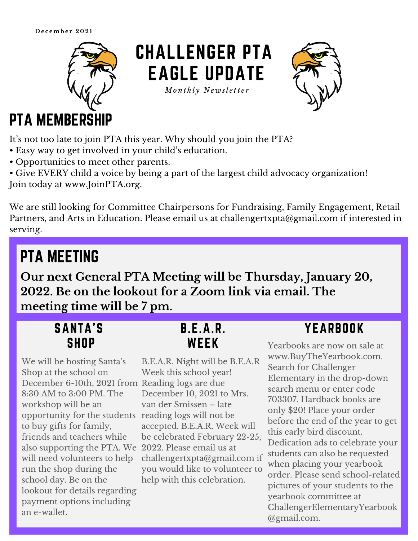**D e c emb e r 2 0 2 1**



# CHALLENGER PTA EAGLE UPDATE

*Mo n t h l y N e w sl e tt e r*



### PTA MEMBERSHIP

It's not too late to join PTA this year. Why should you join the PTA?

- Easy way to get involved in your child's education.
- Opportunities to meet other parents.

• Give EVERY child a voice by being a part of the largest child advocacy organization! Join today at [www.JoinPTA.org.](http://www.joinpta.org/)

We are still looking for Committee Chairpersons for Fundraising, Family Engagement, Retail Partners, and Arts in Education. Please email us at [challengertxpta@gmail.com](mailto:challengertxpta@gmail.com) if interested in serving.

## PTA MEETING

**Our next General PTA Meeting will be Thursday, January 20, 2022. Be on the lookout for a Zoom link via email. The meeting time will be 7 pm.**

| <b>SANTA'S</b> |             |  |  |
|----------------|-------------|--|--|
|                | <b>SHOP</b> |  |  |

We will be hosting Santa ' s Shop at the school on December 6-10th, 2021 from Reading logs are due 8:30 AM to 3:00 PM. The workshop will be an opportunity for the students reading logs will not be to buy gifts for family, friends and teachers while also supporting the PTA. We 2022. Please email us at will need volunteers to help run the shop during the school day. Be on the lookout for details regarding payment options including an e-wallet.

#### B.E.A.R. WEEK

B.E.A.R. Night will be B.E.A.R Week this school year! December 10, 2021 to Mrs. van der Smissen – late accepted. B.E.A.R. Week will be celebrated February 22-25, [challengertxpta@gmail.com](mailto:challengertxpta@gmail.com) if you would like to volunteer to help with this celebration.

### YEARBOOK

Yearbooks are now on sale at [www.BuyTheYearbook.com.](http://www.buytheyearbook.com/) Search for Challenger Elementary in the drop-down search menu or enter code 703307. Hardback books are only \$20! Place your order before the end of the year to get this early bird discount. Dedication ads to celebrate your students can also be requested when placing your yearbook order. Please send school-related pictures of your students to the yearbook committee at [ChallengerElementaryYearbook](mailto:ChallengerElementaryYearbook@gmail.com) @gmail.com.